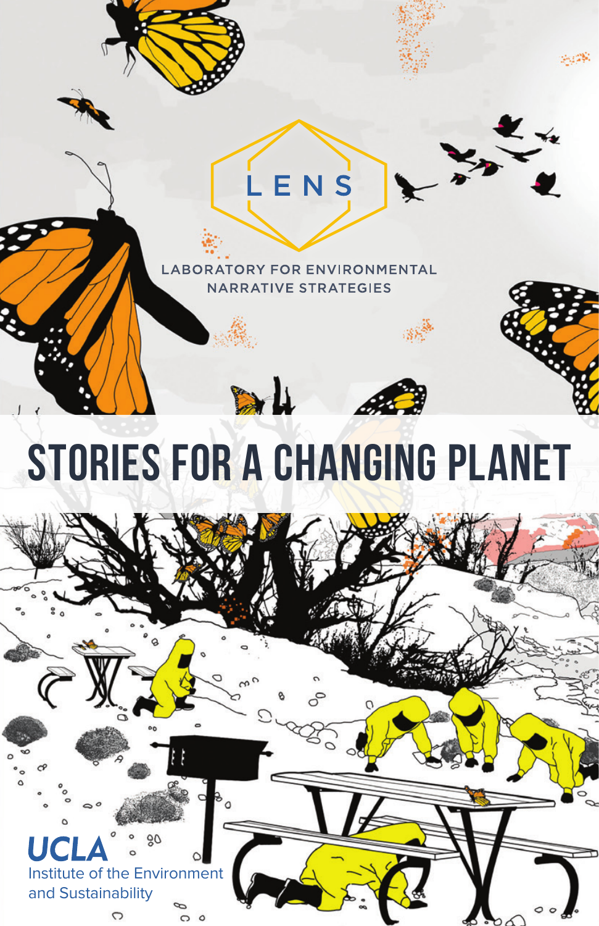

 $LEN$ 

# STORIES FOR A CHANGING PLANET

DU

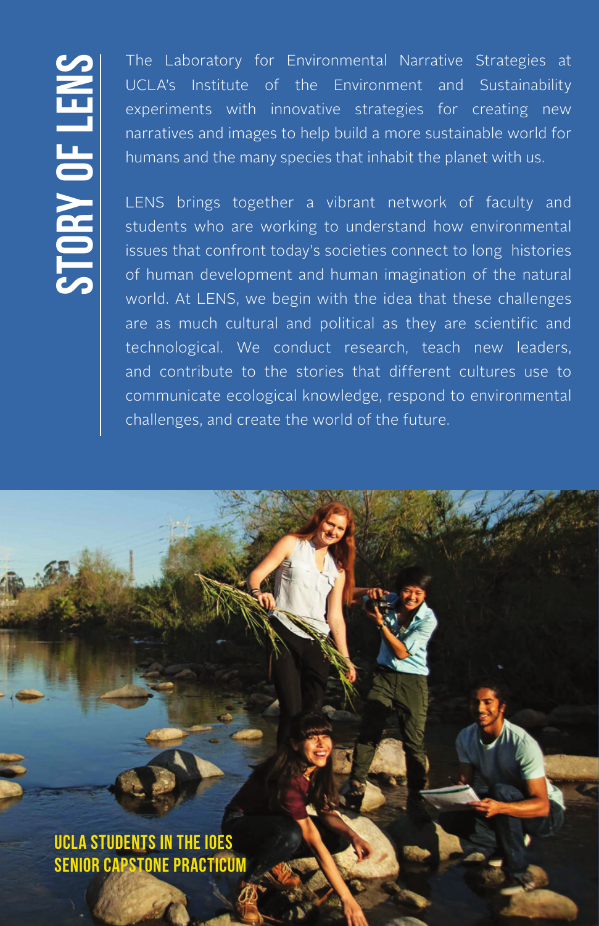The Laboratory for Environmental Narrative Strategies at<br>
UCLA's Institute of the Environment and Sustainability<br>
experiments with innovative strategies for creating new<br>
narratives and images to help build a more sustaina UCLA's Institute of the Environment and Sustainability experiments with innovative strategies for creating new narratives and images to help build a more sustainable world for humans and the many species that inhabit the planet with us.

LENS brings together a vibrant network of faculty and students who are working to understand how environmental issues that confront today's societies connect to long histories of human development and human imagination of the natural world. At LENS, we begin with the idea that these challenges are as much cultural and political as they are scientific and technological. We conduct research, teach new leaders, and contribute to the stories that different cultures use to communicate ecological knowledge, respond to environmental challenges, and create the world of the future.

UCLA students in the IoES Senior Capstone Practicum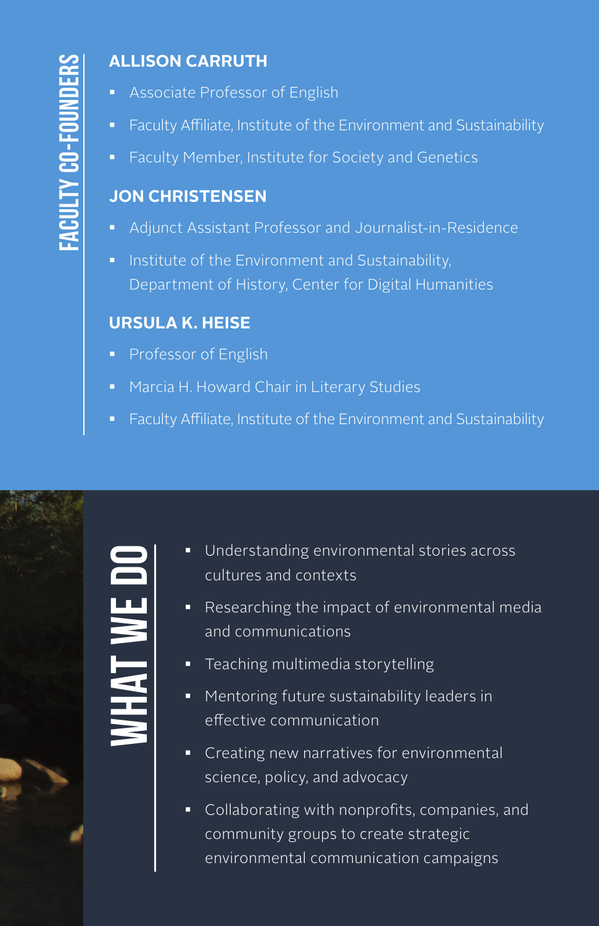# **ALLISON CARRUTH**

- Associate Professor of English
- Faculty Affiliate, Institute of the Environment and Sustainability
- **Faculty Member, Institute for Society and Genetics**

### **JON CHRISTENSEN**

- Adjunct Assistant Professor and Journalist-in-Residence
- **Institute of the Environment and Sustainability,** Department of History, Center for Digital Humanities

#### **URSULA K. HEISE**

- **Professor of English**
- Marcia H. Howard Chair in Literary Studies
- **Faculty Affiliate, Institute of the Environment and Sustainability**



- **Understanding environmental stories across** cultures and contexts
- Researching the impact of environmental media and communications
- **Teaching multimedia storytelling**
- **Mentoring future sustainability leaders in** effective communication
- **Creating new narratives for environmental** science, policy, and advocacy
- **Collaborating with nonprofits, companies, and** community groups to create strategic environmental communication campaigns